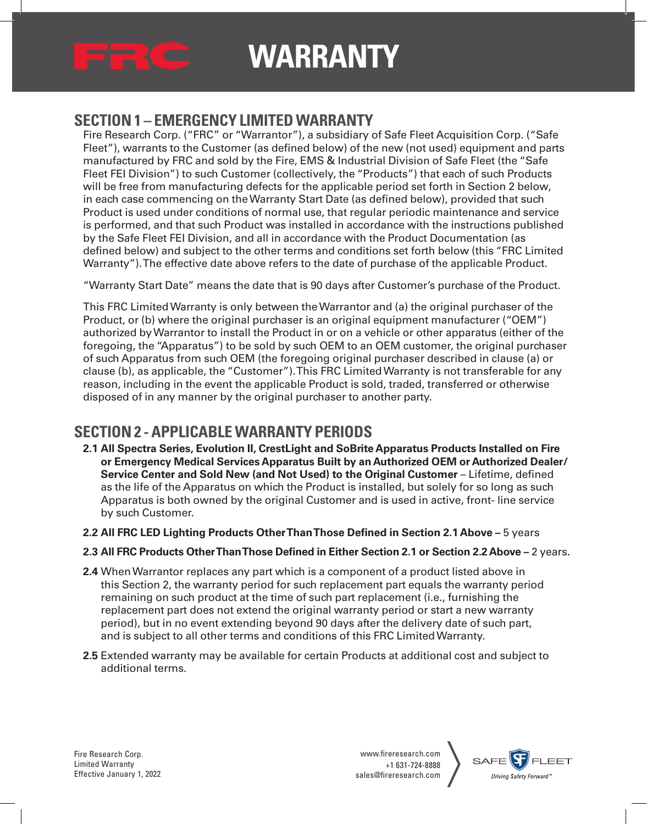

#### **SECTION 1 – EMERGENCY LIMITED WARRANTY**

Fire Research Corp. ("FRC" or "Warrantor"), a subsidiary of Safe Fleet Acquisition Corp. ("Safe Fleet"), warrants to the Customer (as defined below) of the new (not used) equipment and parts manufactured by FRC and sold by the Fire, EMS & Industrial Division of Safe Fleet (the "Safe Fleet FEI Division") to such Customer (collectively, the "Products") that each of such Products will be free from manufacturing defects for the applicable period set forth in Section 2 below, in each case commencing on the Warranty Start Date (as defined below), provided that such Product is used under conditions of normal use, that regular periodic maintenance and service is performed, and that such Product was installed in accordance with the instructions published by the Safe Fleet FEI Division, and all in accordance with the Product Documentation (as defined below) and subject to the other terms and conditions set forth below (this "FRC Limited Warranty"). The effective date above refers to the date of purchase of the applicable Product.

"Warranty Start Date" means the date that is 90 days after Customer's purchase of the Product.

This FRC Limited Warranty is only between the Warrantor and (a) the original purchaser of the Product, or (b) where the original purchaser is an original equipment manufacturer ("OEM") authorized by Warrantor to install the Product in or on a vehicle or other apparatus (either of the foregoing, the "Apparatus") to be sold by such OEM to an OEM customer, the original purchaser of such Apparatus from such OEM (the foregoing original purchaser described in clause (a) or clause (b), as applicable, the "Customer"). This FRC Limited Warranty is not transferable for any reason, including in the event the applicable Product is sold, traded, transferred or otherwise disposed of in any manner by the original purchaser to another party.

### **SECTION 2 - APPLICABLE WARRANTY PERIODS**

- **2.1 All Spectra Series, Evolution II, CrestLight and SoBrite Apparatus Products Installed on Fire or Emergency Medical Services Apparatus Built by an Authorized OEM or Authorized Dealer/ Service Center and Sold New (and Not Used) to the Original Customer** – Lifetime, defined as the life of the Apparatus on which the Product is installed, but solely for so long as such Apparatus is both owned by the original Customer and is used in active, front- line service by such Customer.
- **2.2 All FRC LED Lighting Products Other Than Those Defined in Section 2.1 Above** 5 years
- **2.3 All FRC Products Other Than Those Defined in Either Section 2.1 or Section 2.2 Above –** 2 years**.**
- **2.4** When Warrantor replaces any part which is a component of a product listed above in this Section 2, the warranty period for such replacement part equals the warranty period remaining on such product at the time of such part replacement (i.e., furnishing the replacement part does not extend the original warranty period or start a new warranty period), but in no event extending beyond 90 days after the delivery date of such part, and is subject to all other terms and conditions of this FRC Limited Warranty.
- **2.5** Extended warranty may be available for certain Products at additional cost and subject to additional terms.

Fire Research Corp. Limited Warranty Effective January 1, 2022

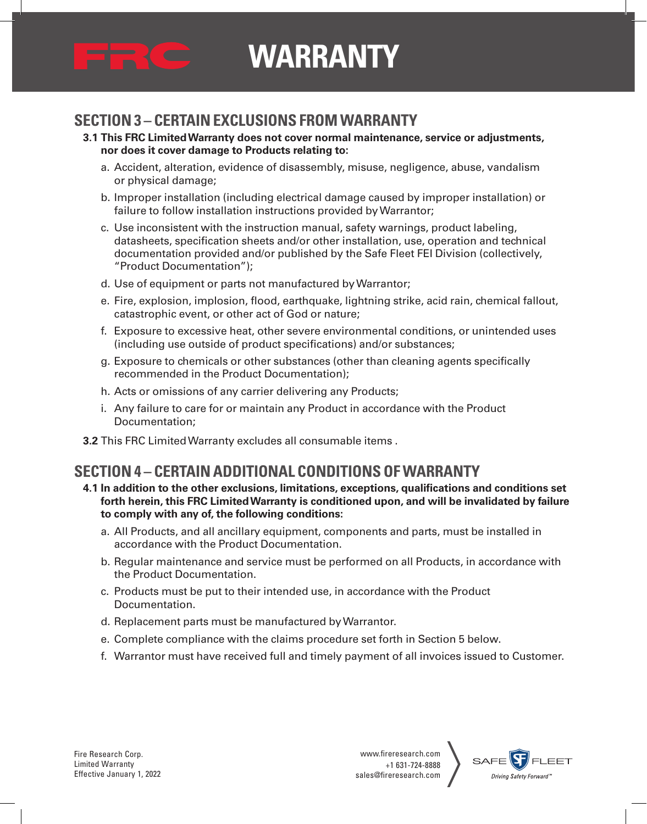

#### **SECTION 3 – CERTAIN EXCLUSIONS FROM WARRANTY**

- **3.1 This FRC Limited Warranty does not cover normal maintenance, service or adjustments, nor does it cover damage to Products relating to:**
	- a. Accident, alteration, evidence of disassembly, misuse, negligence, abuse, vandalism or physical damage;
	- b. Improper installation (including electrical damage caused by improper installation) or failure to follow installation instructions provided by Warrantor;
	- c. Use inconsistent with the instruction manual, safety warnings, product labeling, datasheets, specification sheets and/or other installation, use, operation and technical documentation provided and/or published by the Safe Fleet FEI Division (collectively, "Product Documentation");
	- d. Use of equipment or parts not manufactured by Warrantor;
	- e. Fire, explosion, implosion, flood, earthquake, lightning strike, acid rain, chemical fallout, catastrophic event, or other act of God or nature;
	- f. Exposure to excessive heat, other severe environmental conditions, or unintended uses (including use outside of product specifications) and/or substances;
	- g. Exposure to chemicals or other substances (other than cleaning agents specifically recommended in the Product Documentation);
	- h. Acts or omissions of any carrier delivering any Products;
	- i. Any failure to care for or maintain any Product in accordance with the Product Documentation;
- **3.2** This FRC Limited Warranty excludes all consumable items .

#### **SECTION 4 – CERTAIN ADDITIONAL CONDITIONS OF WARRANTY**

- **4.1 In addition to the other exclusions, limitations, exceptions, qualifications and conditions set forth herein, this FRC Limited Warranty is conditioned upon, and will be invalidated by failure to comply with any of, the following conditions:**
	- a. All Products, and all ancillary equipment, components and parts, must be installed in accordance with the Product Documentation.
	- b. Regular maintenance and service must be performed on all Products, in accordance with the Product Documentation.
	- c. Products must be put to their intended use, in accordance with the Product Documentation.
	- d. Replacement parts must be manufactured by Warrantor.
	- e. Complete compliance with the claims procedure set forth in Section 5 below.
	- f. Warrantor must have received full and timely payment of all invoices issued to Customer.

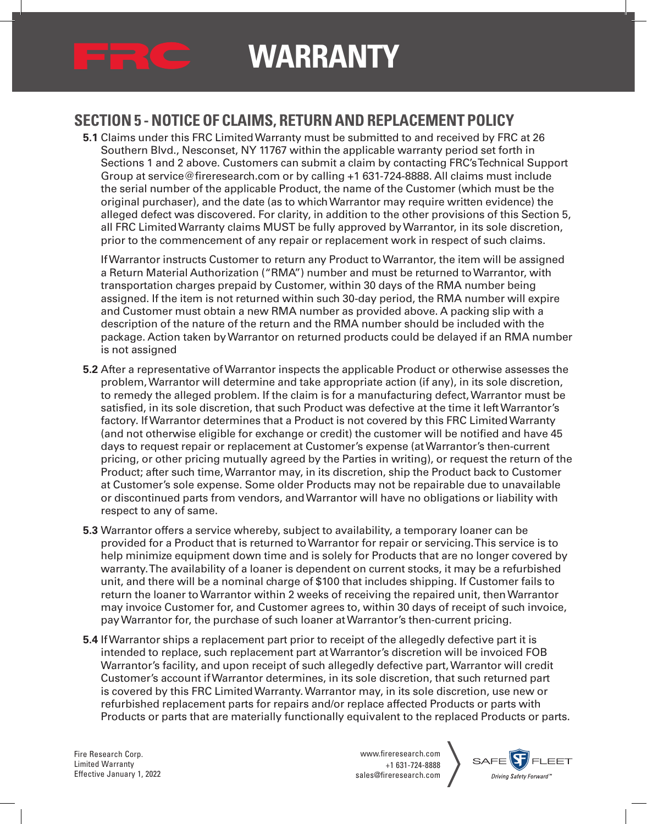

#### **SECTION 5 - NOTICE OF CLAIMS, RETURN AND REPLACEMENT POLICY**

**5.1** Claims under this FRC Limited Warranty must be submitted to and received by FRC at 26 Southern Blvd., Nesconset, NY 11767 within the applicable warranty period set forth in Sections 1 and 2 above. Customers can submit a claim by contacting FRC's Technical Support Group at service@fireresearch.com or by calling +1 631-724-8888. All claims must include the serial number of the applicable Product, the name of the Customer (which must be the original purchaser), and the date (as to which Warrantor may require written evidence) the alleged defect was discovered. For clarity, in addition to the other provisions of this Section 5, all FRC Limited Warranty claims MUST be fully approved by Warrantor, in its sole discretion, prior to the commencement of any repair or replacement work in respect of such claims.

If Warrantor instructs Customer to return any Product to Warrantor, the item will be assigned a Return Material Authorization ("RMA") number and must be returned to Warrantor, with transportation charges prepaid by Customer, within 30 days of the RMA number being assigned. If the item is not returned within such 30-day period, the RMA number will expire and Customer must obtain a new RMA number as provided above. A packing slip with a description of the nature of the return and the RMA number should be included with the package. Action taken by Warrantor on returned products could be delayed if an RMA number is not assigned

- **5.2** After a representative of Warrantor inspects the applicable Product or otherwise assesses the problem, Warrantor will determine and take appropriate action (if any), in its sole discretion, to remedy the alleged problem. If the claim is for a manufacturing defect, Warrantor must be satisfied, in its sole discretion, that such Product was defective at the time it left Warrantor's factory. If Warrantor determines that a Product is not covered by this FRC Limited Warranty (and not otherwise eligible for exchange or credit) the customer will be notified and have 45 days to request repair or replacement at Customer's expense (at Warrantor's then-current pricing, or other pricing mutually agreed by the Parties in writing), or request the return of the Product; after such time, Warrantor may, in its discretion, ship the Product back to Customer at Customer's sole expense. Some older Products may not be repairable due to unavailable or discontinued parts from vendors, and Warrantor will have no obligations or liability with respect to any of same.
- **5.3** Warrantor offers a service whereby, subject to availability, a temporary loaner can be provided for a Product that is returned to Warrantor for repair or servicing. This service is to help minimize equipment down time and is solely for Products that are no longer covered by warranty. The availability of a loaner is dependent on current stocks, it may be a refurbished unit, and there will be a nominal charge of \$100 that includes shipping. If Customer fails to return the loaner to Warrantor within 2 weeks of receiving the repaired unit, then Warrantor may invoice Customer for, and Customer agrees to, within 30 days of receipt of such invoice, pay Warrantor for, the purchase of such loaner at Warrantor's then-current pricing.
- **5.4** If Warrantor ships a replacement part prior to receipt of the allegedly defective part it is intended to replace, such replacement part at Warrantor's discretion will be invoiced FOB Warrantor's facility, and upon receipt of such allegedly defective part, Warrantor will credit Customer's account if Warrantor determines, in its sole discretion, that such returned part is covered by this FRC Limited Warranty. Warrantor may, in its sole discretion, use new or refurbished replacement parts for repairs and/or replace affected Products or parts with Products or parts that are materially functionally equivalent to the replaced Products or parts.

Fire Research Corp. Limited Warranty Effective January 1, 2022

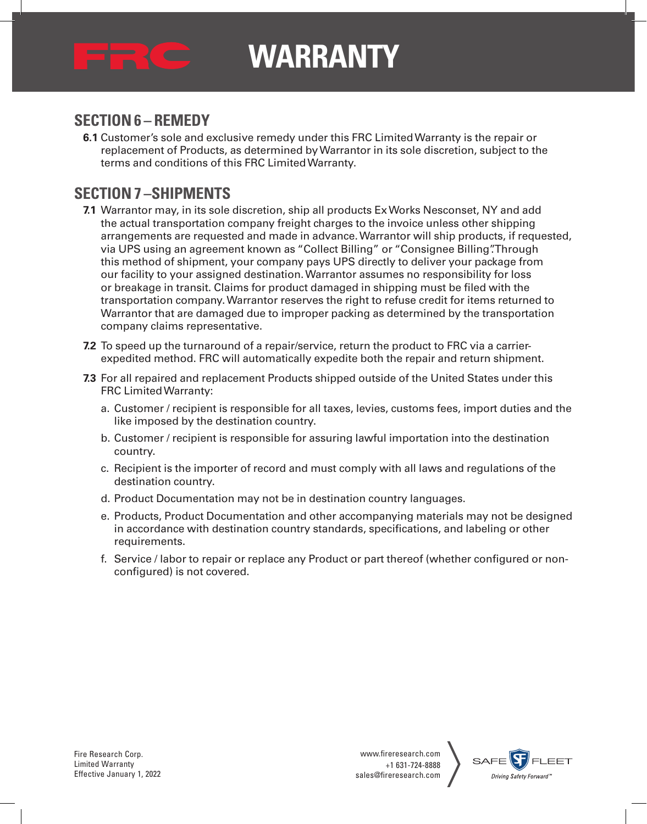

#### **SECTION 6 – REMEDY**

**6.1** Customer's sole and exclusive remedy under this FRC Limited Warranty is the repair or replacement of Products, as determined by Warrantor in its sole discretion, subject to the terms and conditions of this FRC Limited Warranty.

#### **SECTION 7 –SHIPMENTS**

- **7.1** Warrantor may, in its sole discretion, ship all products Ex Works Nesconset, NY and add the actual transportation company freight charges to the invoice unless other shipping arrangements are requested and made in advance. Warrantor will ship products, if requested, via UPS using an agreement known as "Collect Billing" or "Consignee Billing". Through this method of shipment, your company pays UPS directly to deliver your package from our facility to your assigned destination. Warrantor assumes no responsibility for loss or breakage in transit. Claims for product damaged in shipping must be filed with the transportation company. Warrantor reserves the right to refuse credit for items returned to Warrantor that are damaged due to improper packing as determined by the transportation company claims representative.
- **7.2** To speed up the turnaround of a repair/service, return the product to FRC via a carrierexpedited method. FRC will automatically expedite both the repair and return shipment.
- **7.3** For all repaired and replacement Products shipped outside of the United States under this FRC Limited Warranty:
	- a. Customer / recipient is responsible for all taxes, levies, customs fees, import duties and the like imposed by the destination country.
	- b. Customer / recipient is responsible for assuring lawful importation into the destination country.
	- c. Recipient is the importer of record and must comply with all laws and regulations of the destination country.
	- d. Product Documentation may not be in destination country languages.
	- e. Products, Product Documentation and other accompanying materials may not be designed in accordance with destination country standards, specifications, and labeling or other requirements.
	- f. Service / labor to repair or replace any Product or part thereof (whether configured or nonconfigured) is not covered.